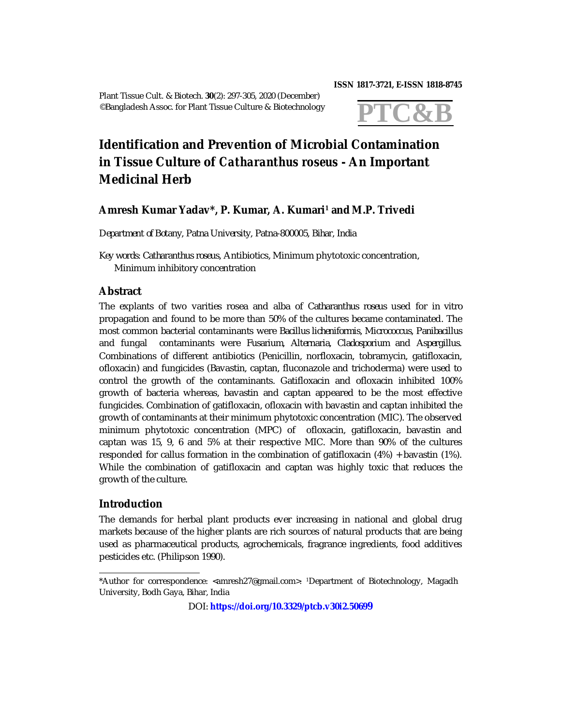Plant Tissue Cult. & Biotech. **30**(2): 297-305, 2020 (December) ©Bangladesh Assoc. for Plant Tissue Culture & Biotechnology

**ISSN 1817-3721, E-ISSN 1818-8745** 



# **Identification and Prevention of Microbial Contamination in Tissue Culture of** *Catharanthus roseus* **- An Important Medicinal Herb**

# **Amresh Kumar Yadav\*, P. Kumar, A. Kumari<sup>1</sup> andM.P. Trivedi**

*Department of Botany, Patna University, Patna-800005, Bihar, India*

*Key words*: *Catharanthus roseus*, Antibiotics, Minimum phytotoxic concentration, Minimum inhibitory concentration

# **Abstract**

The explants of two varities rosea and alba of *Catharanthus roseus* used for *in vitro* propagation and found to be more than 50% of the cultures became contaminated. The most common bacterial contaminants were *Bacillus licheniformis, Micrococcus, Panibacillus* and fungal contaminants were *Fusarium, Alternaria, Cladosporium* and *Aspergillus*. Combinations of different antibiotics (Penicillin, norfloxacin, tobramycin, gatifloxacin, ofloxacin) and fungicides (Bavastin, captan, fluconazole and trichoderma) were used to control the growth of the contaminants. Gatifloxacin and ofloxacin inhibited 100% growth of bacteria whereas, bavastin and captan appeared to be the most effective fungicides. Combination of gatifloxacin, ofloxacin with bavastin and captan inhibited the growth of contaminants at their minimum phytotoxic concentration (MIC). The observed minimum phytotoxic concentration (MPC) of ofloxacin, gatifloxacin, bavastin and captan was 15, 9, 6 and 5% at their respective MIC. More than 90% of the cultures responded for callus formation in the combination of gatifloxacin (4%) + bavastin (1%). While the combination of gatifloxacin and captan was highly toxic that reduces the growth of the culture.

## **Introduction**

The demands for herbal plant products ever increasing in national and global drug markets because of the higher plants are rich sources of natural products that are being used as pharmaceutical products, agrochemicals, fragrance ingredients, food additives pesticides etc. (Philipson 1990).

DOI: **<https://doi.org/10.3329/ptcb.v30i2.5069>9**

<sup>\*</sup>Author for correspondence: [<amresh27@gmail.com>](mailto:amresh27@gmail.com). <sup>1</sup>Department of Biotechnology, Magadh University, Bodh Gaya, Bihar, India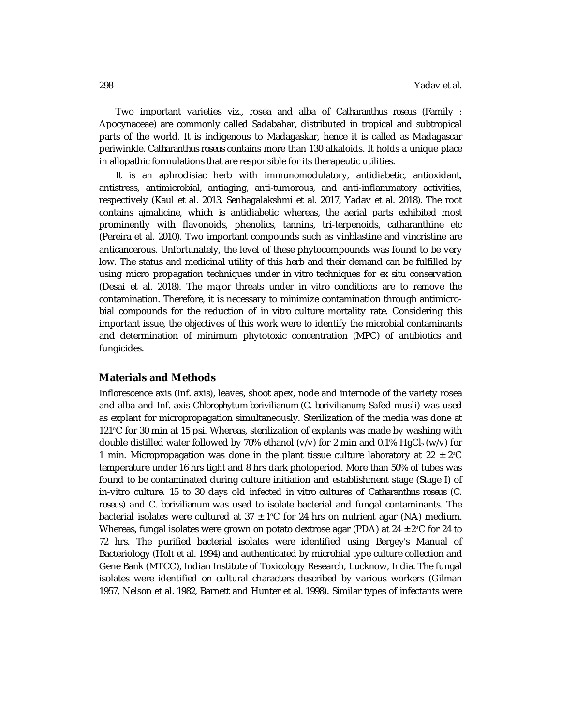Two important varieties *viz.,* rosea and alba of *Catharanthus roseus* (Family : Apocynaceae) are commonly called Sadabahar, distributed in tropical and subtropical parts of the world. It is indigenous to Madagaskar, hence it is called as Madagascar periwinkle*. Catharanthus roseus* contains more than 130 alkaloids. It holds a unique place in allopathic formulations that are responsible for its therapeutic utilities.

It is an aphrodisiac herb with immunomodulatory, antidiabetic, antioxidant, antistress, antimicrobial, antiaging, anti-tumorous, and anti-inflammatory activities, respectively (Kaul et al*.* 2013, Senbagalakshmi et al. 2017, Yadav et al. 2018). The root contains ajmalicine, which is antidiabetic whereas, the aerial parts exhibited most prominently with flavonoids, phenolics, tannins, tri-terpenoids, catharanthine etc (Pereira et al*.* 2010). Two important compounds such as vinblastine and vincristine are anticancerous. Unfortunately, the level of these phytocompounds was found to be very low. The status and medicinal utility of this herb and their demand can be fulfilled by using micro propagation techniques under *in vitro* techniques for *ex situ* conservation (Desai et al. 2018). The major threats under *in vitro* conditions are to remove the contamination. Therefore, it is necessary to minimize contamination through antimicrobial compounds for the reduction of *in vitro* culture mortality rate. Considering this important issue, the objectives of this work were to identify the microbial contaminants and determination of minimum phytotoxic concentration (MPC) of antibiotics and fungicides.

## **Materials and Methods**

Inflorescence axis (Inf. axis), leaves, shoot apex, node and internode of the variety rosea and alba and Inf. axis *Chlorophytum borivilianum* (*C. borivilianum*; Safed musli) was used as explant for micropropagation simultaneously. Sterilization of the media was done at 121ºC for 30 min at 15 psi. Whereas, sterilization of explants was made by washing with double distilled water followed by 70% ethanol (v/v) for 2 min and 0.1%  $HgCl<sub>2</sub>(w/v)$  for 1 min. Micropropagation was done in the plant tissue culture laboratory at  $22 \pm 2^{\circ}C$ temperature under 16 hrs light and 8 hrs dark photoperiod. More than 50% of tubes was found to be contaminated during culture initiation and establishment stage (Stage I) of in-vitro culture. 15 to 30 days old infected *in vitro* cultures of *Catharanthus roseus* (*C. roseus*) and *C. borivilianum* was used to isolate bacterial and fungal contaminants. The bacterial isolates were cultured at  $37 \pm 1^{\circ}$  for 24 hrs on nutrient agar (NA) medium. Whereas, fungal isolates were grown on potato dextrose agar (PDA) at  $24 \pm 2^{\circ}$ C for 24 to 72 hrs. The purified bacterial isolates were identified using Bergey's Manual of Bacteriology (Holt et al*.* 1994) and authenticated by microbial type culture collection and Gene Bank (MTCC), Indian Institute of Toxicology Research, Lucknow, India. The fungal isolates were identified on cultural characters described by various workers (Gilman 1957, Nelson et al*.* 1982, Barnett and Hunter et al*.* 1998). Similar types of infectants were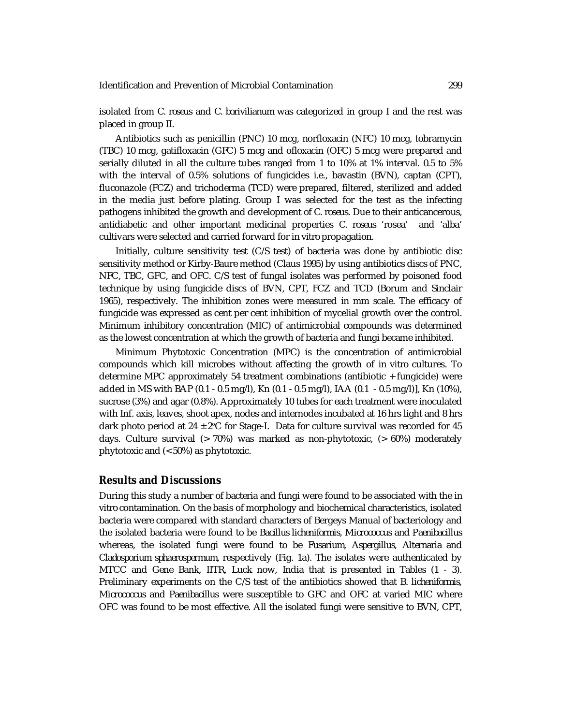isolated from *C. roseus* and *C. borivilianum* was categorized in group I and the rest was placed in group II.

Antibiotics such as penicillin (PNC) 10 mcg, norfloxacin (NFC) 10 mcg, tobramycin (TBC) 10 mcg, gatifloxacin (GFC) 5 mcg and ofloxacin (OFC) 5 mcg were prepared and serially diluted in all the culture tubes ranged from 1 to 10% at 1% interval. 0.5 to 5% with the interval of 0.5% solutions of fungicides i.e., bavastin (BVN), captan (CPT), fluconazole (FCZ) and trichoderma (TCD) were prepared, filtered, sterilized and added in the media just before plating. Group I was selected for the test as the infecting pathogens inhibited the growth and development of *C. roseus*. Due to their anticancerous, antidiabetic and other important medicinal properties *C. roseus* 'rosea' and 'alba' cultivars were selected and carried forward for *in vitro* propagation.

Initially, culture sensitivity test (C/S test) of bacteria was done by antibiotic disc sensitivity method or Kirby-Baure method (Claus 1995) by using antibiotics discs of PNC, NFC, TBC, GFC, and OFC. C/S test of fungal isolates was performed by poisoned food technique by using fungicide discs of BVN, CPT, FCZ and TCD (Borum and Sinclair 1965), respectively. The inhibition zones were measured in mm scale. The efficacy of fungicide was expressed as cent per cent inhibition of mycelial growth over the control. Minimum inhibitory concentration (MIC) of antimicrobial compounds was determined as the lowest concentration at which the growth of bacteria and fungi became inhibited.

Minimum Phytotoxic Concentration (MPC) is the concentration of antimicrobial compounds which kill microbes without affecting the growth of *in vitro* cultures. To determine MPC approximately 54 treatment combinations (antibiotic + fungicide) were added in MS with BAP (0.1 - 0.5 mg/l), Kn (0.1 - 0.5 mg/l), IAA (0.1 - 0.5 mg/l)], Kn (10%), sucrose (3%) and agar (0.8%). Approximately 10 tubes for each treatment were inoculated with Inf. axis, leaves, shoot apex, nodes and internodes incubated at 16 hrs light and 8 hrs dark photo period at  $24 \pm 2^{\circ}$ C for Stage-I. Data for culture survival was recorded for 45 days. Culture survival (> 70%) was marked as non-phytotoxic, (> 60%) moderately phytotoxic and (< 50%) as phytotoxic.

## **Results and Discussions**

During this study a number of bacteria and fungi were found to be associated with the *in vitro* contamination. On the basis of morphology and biochemical characteristics, isolated bacteria were compared with standard characters of Bergeys Manual of bacteriology and the isolated bacteria were found to be *Bacillus licheniformis*, *Micrococcus* and *Paenibacillus* whereas, the isolated fungi were found to be *Fusarium*, *Aspergillus*, *Alternaria* and *Cladosporium sphaerospermum,* respectively (Fig. 1a). The isolates were authenticated by MTCC and Gene Bank, IITR, Luck now, India that is presented in Tables (1 - 3). Preliminary experiments on the C/S test of the antibiotics showed that *B. licheniformis*, *Micrococcus* and *Paenibacillus* were susceptible to GFC and OFC at varied MIC where OFC was found to be most effective. All the isolated fungi were sensitive to BVN, CPT,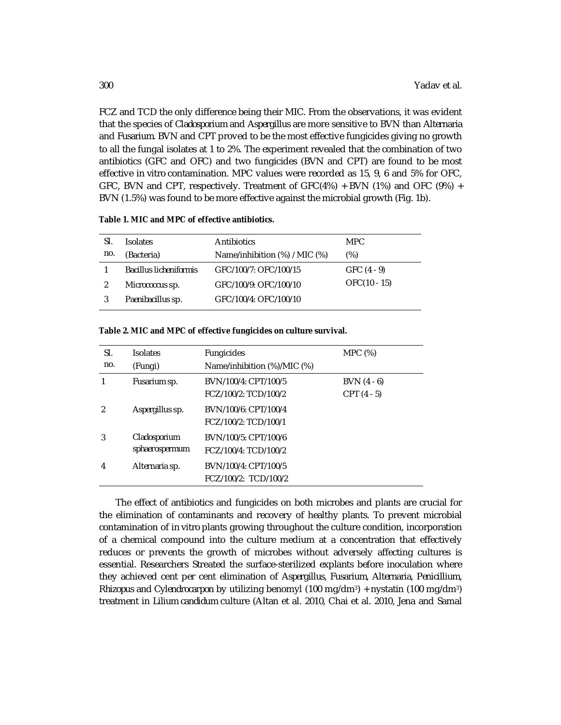FCZ and TCD the only difference being their MIC. From the observations, it was evident that the species of *Cladosporium* and *Aspergillus* are more sensitive to BVN than *Alternaria*  and *Fusarium.* BVN and CPT proved to be the most effective fungicides giving no growth to all the fungal isolates at 1 to 2%. The experiment revealed that the combination of two antibiotics (GFC and OFC) and two fungicides (BVN and CPT) are found to be most effective *in vitro* contamination. MPC values were recorded as 15, 9, 6 and 5% for OFC, GFC, BVN and CPT, respectively. Treatment of GFC(4%) + BVN (1%) and OFC (9%) + BVN (1.5%) was found to be more effective against the microbial growth (Fig. 1b).

| SI. | <b>Isolates</b>        | Antibiotics                   | MPC.          |
|-----|------------------------|-------------------------------|---------------|
| no. | (Bacteria)             | Name/inhibition (%) / MIC (%) | $(\%)$        |
|     | Bacillus licheniformis | GFC/100/7: OFC/100/15         | $GFC (4 - 9)$ |
|     | Micrococcus sp.        | GFC/100/9: OFC/100/10         | OFC(10 - 15)  |
|     | Paenibacillus sp.      | GFC/100/4: OFC/100/10         |               |

#### **Table 2. MIC and MPC of effective fungicides on culture survival.**

| SI.           | <b>Isolates</b>                | <b>Fungicides</b>           | MPC (%)       |  |
|---------------|--------------------------------|-----------------------------|---------------|--|
| no.           | (Fungi)                        | Name/inhibition (%)/MIC (%) |               |  |
|               | Fusarium sp.                   | BVN/100/4: CPT/100/5        | $BVN (4 - 6)$ |  |
|               |                                | FCZ/100/2: TCD/100/2        | $CPT(4-5)$    |  |
| $\mathcal{P}$ | Aspergillus sp.                | BVN/100/6: CPT/100/4        |               |  |
|               |                                | FCZ/100/2: TCD/100/1        |               |  |
| 3             | Cladosporium<br>sphaerospermum | BVN/100/5: CPT/100/6        |               |  |
|               |                                | FCZ/100/4: TCD/100/2        |               |  |
| 4             | Alternaria sp.                 | BVN/100/4: CPT/100/5        |               |  |
|               |                                | FCZ/100/2: TCD/100/2        |               |  |

The effect of antibiotics and fungicides on both microbes and plants are crucial for the elimination of contaminants and recovery of healthy plants. To prevent microbial contamination of *in vitro* plants growing throughout the culture condition, incorporation of a chemical compound into the culture medium at a concentration that effectively reduces or prevents the growth of microbes without adversely affecting cultures is essential. Researchers Streated the surface-sterilized explants before inoculation where they achieved cent per cent elimination of *Aspergillus, Fusarium, Alternaria, Penicillium, Rhizopus* and *Cylendrocarpon* by utilizing benomyl (100 mg/dm3) + nystatin (100 mg/dm3) treatment in *Lilium candidum* culture (Altan et al. 2010, Chai et al. 2010, Jena and Samal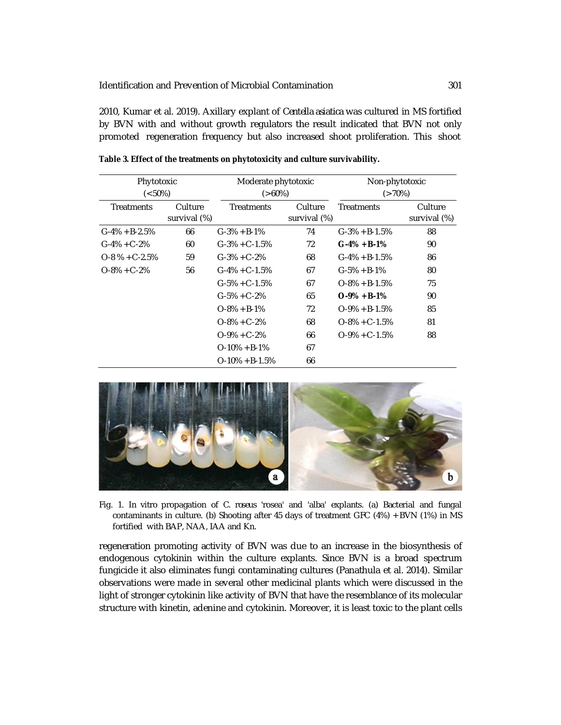2010, Kumar et al. 2019). Axillary explant of *Centella asiatica* was cultured in MS fortified by BVN with and without growth regulators the result indicated that BVN not only promoted regeneration frequency but also increased shoot proliferation. This shoot

| Phytotoxic<br>$(< 50\%)$ |                         | Moderate phytotoxic<br>$(>60\%)$ |                         | Non-phytotoxic<br>$(>70\%)$ |                         |
|--------------------------|-------------------------|----------------------------------|-------------------------|-----------------------------|-------------------------|
| <b>Treatments</b>        | Culture<br>survival (%) | <b>Treatments</b>                | Culture<br>survival (%) | <b>Treatments</b>           | Culture<br>survival (%) |
| $G-4\% + B-2.5\%$        | 66                      | $G-3% + B-1%$                    | 74                      | $G-3% + B-1.5%$             | 88                      |
| $G-4\% + C-2\%$          | 60                      | $G-3\% + C-1.5\%$                | 72                      | $G-4\% + B-1\%$             | 90                      |
| $O-8$ % + C-2.5%         | 59                      | $G-3\% + C-2\%$                  | 68                      | $G-4\% + B-1.5\%$           | 86                      |
| $O-8\% + C-2\%$          | 56                      | $G-4\% + C-1.5\%$                | 67                      | $G-5% + B-1%$               | 80                      |
|                          |                         | $G-5\% + C-1.5\%$                | 67                      | $O-8\% + B-1.5\%$           | 75                      |
|                          |                         | $G - 5\% + C - 2\%$              | 65                      | $O-9\% + B-1\%$             | 90                      |
|                          |                         | $O-8\% + B-1\%$                  | 72                      | $O-9\% + B-1.5\%$           | 85                      |
|                          |                         | $O-8\% + C-2\%$                  | 68                      | $O-8\% + C-1.5\%$           | 81                      |
|                          |                         | $O-9\% + C-2\%$                  | 66                      | $O-9\% + C-1.5\%$           | 88                      |
|                          |                         | $O-10\% + B-1\%$                 | 67                      |                             |                         |
|                          |                         | $O-10\% + B-1.5\%$               | 66                      |                             |                         |

**Table 3. Effect of the treatments on phytotoxicity and culture survivability.**



Fig. 1. *In vitro* propagation of *C. roseus* 'rosea' and 'alba' explants. (a) Bacterial and fungal contaminants in culture. (b) Shooting after 45 days of treatment GFC (4%) + BVN (1%) in MS fortified with BAP, NAA, IAA and Kn.

regeneration promoting activity of BVN was due to an increase in the biosynthesis of endogenous cytokinin within the culture explants. Since BVN is a broad spectrum fungicide it also eliminates fungi contaminating cultures (Panathula et al*.* 2014). Similar observations were made in several other medicinal plants which were discussed in the light of stronger cytokinin like activity of BVN that have the resemblance of its molecular structure with kinetin, adenine and cytokinin. Moreover, it is least toxic to the plant cells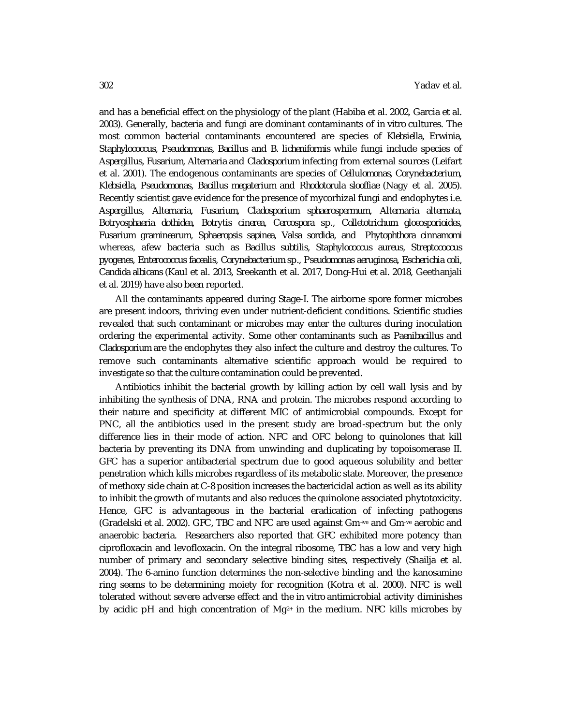and has a beneficial effect on the physiology of the plant (Habiba et al. 2002, Garcia et al. 2003). Generally, bacteria and fungi are dominant contaminants of *in vitro* cultures. The most common bacterial contaminants encountered are species of *Klebsiella, Erwinia, Staphylococcus, Pseudomonas, Bacillus* and *B. licheniformis* while fungi include species of *Aspergillus, Fusarium, Alternaria* and *Cladosporium* infecting from external sources (Leifart et al. 2001). The endogenous contaminants are species of *Cellulomonas, Corynebacterium, Klebsiella, Pseudomonas*, *Bacillus megaterium* and *Rhodotorula slooffiae* (Nagy et al. 2005). Recently scientist gave evidence for the presence of mycorhizal fungi and endophytes i.e. *Aspergillus, Alternaria, Fusarium, Cladosporium sphaerospermum, Alternaria alternata, Botryosphaeria dothidea, Botrytis cinerea, Cercospora* sp., *Colletotrichum gloeosporioides, Fusarium graminearum, Sphaeropsis sapinea, Valsa sordida, and Phytophthora cinnamomi* whereas, afew bacteria such as *Bacillus subtilis, Staphylococcus aureus, Streptococcus pyogenes, Enterococcus facealis, Corynebacterium* sp.*, Pseudomonas aeruginosa, Escherichia coli, Candida albicans* (Kaul et al*.* 2013, Sreekanth et al*.* 2017, Dong-Hui et al*.* 2018, Geethanjali et al*.* 2019) have also been reported.

All the contaminants appeared during Stage-I. The airborne spore former microbes are present indoors, thriving even under nutrient-deficient conditions. Scientific studies revealed that such contaminant or microbes may enter the cultures during inoculation ordering the experimental activity. Some other contaminants such as *Paenibacillus* and *Cladosporium* are the endophytes they also infect the culture and destroy the cultures. To remove such contaminants alternative scientific approach would be required to investigate so that the culture contamination could be prevented.

Antibiotics inhibit the bacterial growth by killing action by cell wall lysis and by inhibiting the synthesis of DNA, RNA and protein. The microbes respond according to their nature and specificity at different MIC of antimicrobial compounds. Except for PNC, all the antibiotics used in the present study are broad-spectrum but the only difference lies in their mode of action. NFC and OFC belong to quinolones that kill bacteria by preventing its DNA from unwinding and duplicating by topoisomerase II. GFC has a superior antibacterial spectrum due to good aqueous solubility and better penetration which kills microbes regardless of its metabolic state. Moreover, the presence of methoxy side chain at C-8 position increases the bactericidal action as well as its ability to inhibit the growth of mutants and also reduces the quinolone associated phytotoxicity. Hence, GFC is advantageous in the bacterial eradication of infecting pathogens (Gradelski et al*.* 2002). GFC, TBC and NFC are used against Gm+ve and Gm-ve aerobic and anaerobic bacteria. Researchers also reported that GFC exhibited more potency than ciprofloxacin and levofloxacin. On the integral ribosome, TBC has a low and very high number of primary and secondary selective binding sites, respectively (Shailja et al. 2004). The 6-amino function determines the non-selective binding and the kanosamine ring seems to be determining moiety for recognition (Kotra et al*.* 2000). NFC is well tolerated without severe adverse effect and the *in vitro* antimicrobial activity diminishes by acidic pH and high concentration of  $Mg^{2+}$  in the medium. NFC kills microbes by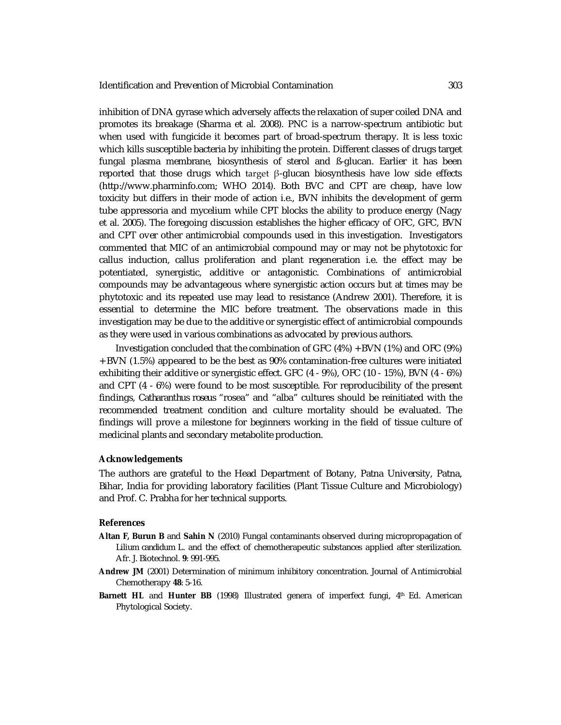inhibition of DNA gyrase which adversely affects the relaxation of super coiled DNA and promotes its breakage (Sharma et al*.* 2008). PNC is a narrow-spectrum antibiotic but when used with fungicide it becomes part of broad-spectrum therapy. It is less toxic which kills susceptible bacteria by inhibiting the protein. Different classes of drugs target fungal plasma membrane, biosynthesis of sterol and ß-glucan. Earlier it has been reported that those drugs which target β-glucan biosynthesis have low side effects [\(http://www.pharminfo.com;](http://www.pharminfo.com;) WHO 2014). Both BVC and CPT are cheap, have low toxicity but differs in their mode of action i.e., BVN inhibits the development of germ tube appressoria and mycelium while CPT blocks the ability to produce energy (Nagy et al*.* 2005). The foregoing discussion establishes the higher efficacy of OFC, GFC, BVN and CPT over other antimicrobial compounds used in this investigation. Investigators commented that MIC of an antimicrobial compound may or may not be phytotoxic for callus induction, callus proliferation and plant regeneration i.e. the effect may be potentiated, synergistic, additive or antagonistic. Combinations of antimicrobial compounds may be advantageous where synergistic action occurs but at times may be phytotoxic and its repeated use may lead to resistance (Andrew 2001). Therefore, it is essential to determine the MIC before treatment. The observations made in this investigation may be due to the additive or synergistic effect of antimicrobial compounds as they were used in various combinations as advocated by previous authors.

Investigation concluded that the combination of GFC (4%) + BVN (1%) and OFC (9%) + BVN (1.5%) appeared to be the best as 90% contamination-free cultures were initiated exhibiting their additive or synergistic effect. GFC (4 - 9%), OFC (10 - 15%), BVN (4 - 6%) and CPT (4 - 6%) were found to be most susceptible. For reproducibility of the present findings, *Catharanthus roseus* "rosea" and "alba" cultures should be reinitiated with the recommended treatment condition and culture mortality should be evaluated. The findings will prove a milestone for beginners working in the field of tissue culture of medicinal plants and secondary metabolite production.

### **Acknowledgements**

The authors are grateful to the Head Department of Botany, Patna University, Patna, Bihar, India for providing laboratory facilities (Plant Tissue Culture and Microbiology) and Prof. C. Prabha for her technical supports.

#### **References**

- **Altan F, Burun B** and **Sahin N** (2010) Fungal contaminants observed during micropropagation of *Lilium candidum* L. and the effect of chemotherapeutic substances applied after sterilization. Afr. J. Biotechnol. **9**: 991-995.
- **Andrew JM** (2001) Determination of minimum inhibitory concentration. Journal of Antimicrobial Chemotherapy **48**: 5-16.
- **Barnett HL** and **Hunter BB** (1998) Illustrated genera of imperfect fungi, 4th Ed. American Phytological Society.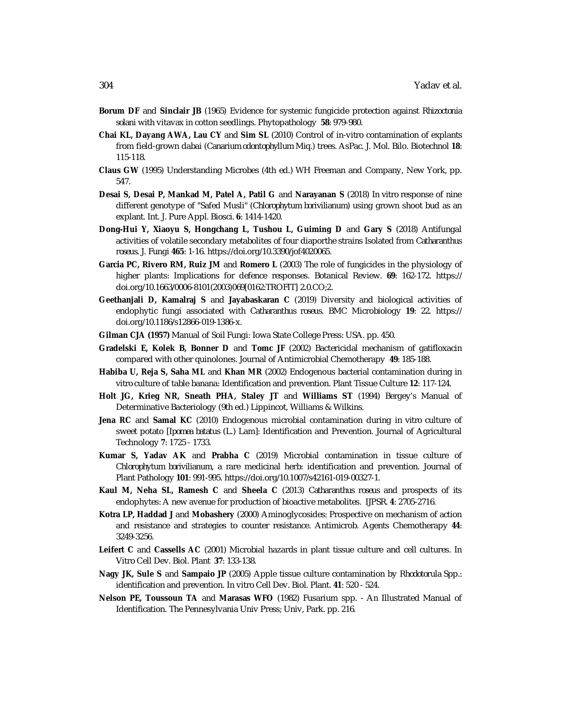- **Borum DF** and **Sinclair JB** (1965) Evidence for systemic fungicide protection against *Rhizoctonia solani* with vitavax in cotton seedlings. Phytopathology **58**: 979-980.
- **Chai KL, Dayang AWA, Lau CY** and **Sim SL** (2010) Control of in-vitro contamination of explants from field-grown dabai (*Canarium odontophyllum* Miq.) trees. AsPac. J. Mol. Bilo. Biotechnol **18**: 115-118.
- **Claus GW** (1995) Understanding Microbes (4th ed.) WH Freeman and Company, New York, pp. 547.
- **Desai S, Desai P, Mankad M, Patel A, Patil G** and **Narayanan S** (2018) *In vitro* response of nine different genotype of "Safed Musli" (*Chlorophytum borivilianum*) using grown shoot bud as an explant. Int. J. Pure Appl. Biosci. **6**: 1414-1420.
- **Dong-Hui Y, Xiaoyu S, Hongchang L, Tushou L, Guiming D** and **Gary S** (2018) Antifungal activities of volatile secondary metabolites of four diaporthe strains Isolated from *Catharanthus roseus*. J. Fungi **465**: 1-16. <https://doi.org/10.3390/jof4020065.>
- **Garcia PC, Rivero RM, Ruiz JM** and **Romero L** (2003) The role of fungicides in the physiology of higher plants: Implications for defence responses. Botanical Review. **69**: 162-172. <https://> doi.org/10.1663/0006-8101(2003)069[0162:TROFIT] 2.0.CO;2.
- **Geethanjali D, Kamalraj S** and **Jayabaskaran C** (2019) Diversity and biological activities of endophytic fungi associated with *Catharanthus roseus*. BMC Microbiology **19**: 22. <https://> doi.org/10.1186/s12866-019-1386-x.
- **Gilman CJA (1957)** Manual of Soil Fungi: Iowa State College Press: USA. pp. 450.
- **Gradelski E, Kolek B, Bonner D** and **Tomc JF** (2002) Bactericidal mechanism of gatifloxacin compared with other quinolones. Journal of Antimicrobial Chemotherapy **49**: 185-188.
- **Habiba U, Reja S, Saha ML** and **Khan MR** (2002) Endogenous bacterial contamination during *in vitro* culture of table banana: Identification and prevention. Plant Tissue Culture **12**: 117-124.
- **Holt JG, Krieg NR, Sneath PHA, Staley JT** and **Williams ST** (1994) Bergey's Manual of Determinative Bacteriology (9th ed.) Lippincot, Williams & Wilkins.
- **Jena RC** and **Samal KC** (2010) Endogenous microbial contamination during *in vitro* culture of sweet potato [*Ipomea batatus* (L.) Lam]: Identification and Prevention. Journal of Agricultural Technology **7**: 1725 - 1733.
- **Kumar S, Yadav AK** and **Prabha C** (2019) Microbial contamination in tissue culture of *Chlorophytum borivilianum*, a rare medicinal herb: identification and prevention. Journal of Plant Pathology **101**: 991-995. <https://doi.org/10.1007/s42161-019-00327-1.>
- **Kaul M, Neha SL, Ramesh C** and **Sheela C** (2013) *Catharanthus roseus* and prospects of its endophytes: A new avenue for production of bioactive metabolites. IJPSR. **4**: 2705-2716.
- **Kotra LP, Haddad J** and **Mobashery** (2000) Aminoglycosides: Prospective on mechanism of action and resistance and strategies to counter resistance. Antimicrob. Agents Chemotherapy **44**: 3249-3256.
- **Leifert C** and **Cassells AC** (2001) Microbial hazards in plant tissue culture and cell cultures. In Vitro Cell Dev. Biol. Plant **37**: 133-138.
- **Nagy JK, Sule S** and **Sampaio JP** (2005) Apple tissue culture contamination by *Rhodotorula* Spp.: identification and prevention. In vitro Cell Dev. Biol. Plant. **41**: 520 - 524.
- **Nelson PE, Toussoun TA** and **Marasas WFO** (1982) Fusarium spp. An Illustrated Manual of Identification. The Pennesylvania Univ Press; Univ, Park. pp. 216.